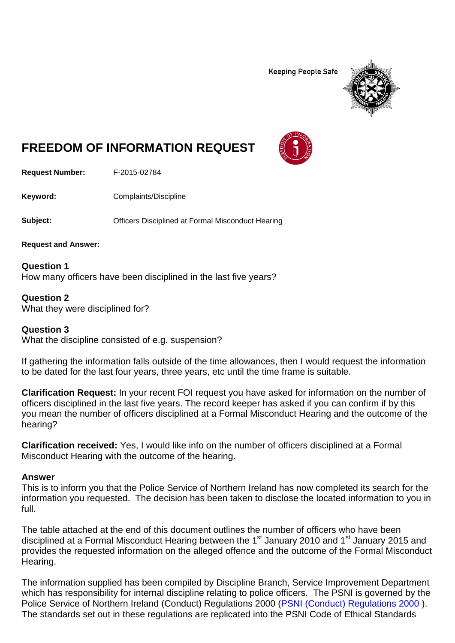**Keeping People Safe** 



## **FREEDOM OF INFORMATION REQUEST**

**Request Number:** F-2015-02784

**Keyword:** Complaints/Discipline

**Subject: Conservery Officers Disciplined at Formal Misconduct Hearing** 

**Request and Answer:**

**Question 1** How many officers have been disciplined in the last five years?

**Question 2** What they were disciplined for?

## **Question 3**

What the discipline consisted of e.g. suspension?

If gathering the information falls outside of the time allowances, then I would request the information to be dated for the last four years, three years, etc until the time frame is suitable.

**Clarification Request:** In your recent FOI request you have asked for information on the number of officers disciplined in the last five years. The record keeper has asked if you can confirm if by this you mean the number of officers disciplined at a Formal Misconduct Hearing and the outcome of the hearing?

**Clarification received:** Yes, I would like info on the number of officers disciplined at a Formal Misconduct Hearing with the outcome of the hearing.

## **Answer**

This is to inform you that the Police Service of Northern Ireland has now completed its search for the information you requested. The decision has been taken to disclose the located information to you in full.

The table attached at the end of this document outlines the number of officers who have been disciplined at a Formal Misconduct Hearing between the 1<sup>st</sup> January 2010 and 1<sup>st</sup> January 2015 and provides the requested information on the alleged offence and the outcome of the Formal Misconduct Hearing.

The information supplied has been compiled by Discipline Branch, Service Improvement Department which has responsibility for internal discipline relating to police officers. The PSNI is governed by the Police Service of Northern Ireland (Conduct) Regulations 2000 [\(PSNI \(Conduct\) Regulations 2000](http://www.legislation.gov.uk/nisr/2000/315/contents/made) ). The standards set out in these regulations are replicated into the PSNI Code of Ethical Standards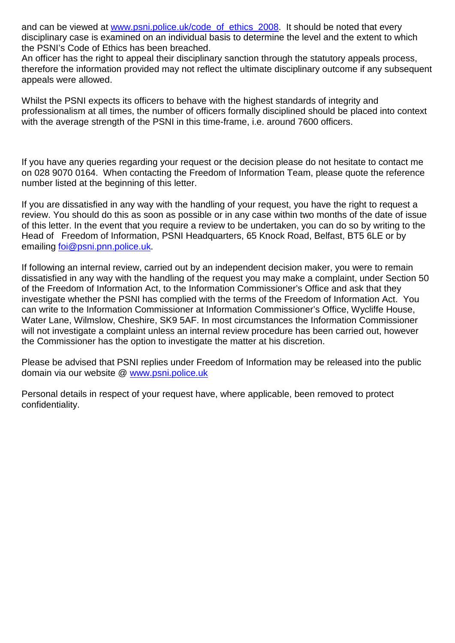and can be viewed at [www.psni.police.uk/code\\_of\\_ethics\\_2008.](http://www.psni.police.uk/code_of_ethics_2008) It should be noted that every disciplinary case is examined on an individual basis to determine the level and the extent to which the PSNI's Code of Ethics has been breached.

An officer has the right to appeal their disciplinary sanction through the statutory appeals process, therefore the information provided may not reflect the ultimate disciplinary outcome if any subsequent appeals were allowed.

Whilst the PSNI expects its officers to behave with the highest standards of integrity and professionalism at all times, the number of officers formally disciplined should be placed into context with the average strength of the PSNI in this time-frame, i.e. around 7600 officers.

If you have any queries regarding your request or the decision please do not hesitate to contact me on 028 9070 0164. When contacting the Freedom of Information Team, please quote the reference number listed at the beginning of this letter.

If you are dissatisfied in any way with the handling of your request, you have the right to request a review. You should do this as soon as possible or in any case within two months of the date of issue of this letter. In the event that you require a review to be undertaken, you can do so by writing to the Head of Freedom of Information, PSNI Headquarters, 65 Knock Road, Belfast, BT5 6LE or by emailing [foi@psni.pnn.police.uk.](mailto:foi@psni.pnn.police.uk)

If following an internal review, carried out by an independent decision maker, you were to remain dissatisfied in any way with the handling of the request you may make a complaint, under Section 50 of the Freedom of Information Act, to the Information Commissioner's Office and ask that they investigate whether the PSNI has complied with the terms of the Freedom of Information Act. You can write to the Information Commissioner at Information Commissioner's Office, Wycliffe House, Water Lane, Wilmslow, Cheshire, SK9 5AF. In most circumstances the Information Commissioner will not investigate a complaint unless an internal review procedure has been carried out, however the Commissioner has the option to investigate the matter at his discretion.

Please be advised that PSNI replies under Freedom of Information may be released into the public domain via our website @ [www.psni.police.uk](http://www.psni.police.uk/)

Personal details in respect of your request have, where applicable, been removed to protect confidentiality.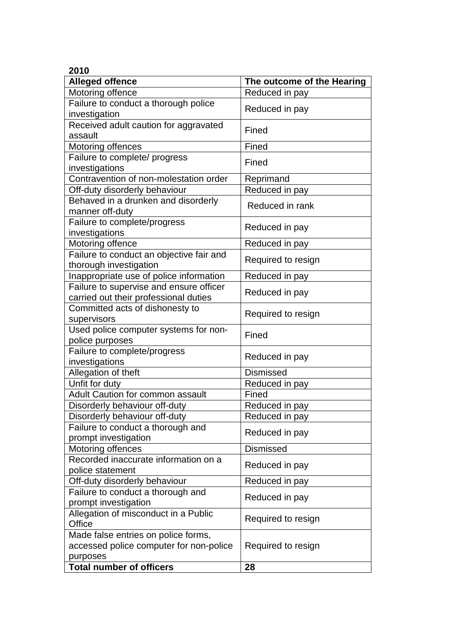## **2010**

| <b>Alleged offence</b>                   | The outcome of the Hearing |
|------------------------------------------|----------------------------|
| Motoring offence                         | Reduced in pay             |
| Failure to conduct a thorough police     | Reduced in pay             |
| investigation                            |                            |
| Received adult caution for aggravated    | Fined                      |
| assault                                  |                            |
| Motoring offences                        | Fined                      |
| Failure to complete/ progress            | Fined                      |
| investigations                           |                            |
| Contravention of non-molestation order   | Reprimand                  |
| Off-duty disorderly behaviour            | Reduced in pay             |
| Behaved in a drunken and disorderly      | Reduced in rank            |
| manner off-duty                          |                            |
| Failure to complete/progress             | Reduced in pay             |
| investigations                           |                            |
| Motoring offence                         | Reduced in pay             |
| Failure to conduct an objective fair and | Required to resign         |
| thorough investigation                   |                            |
| Inappropriate use of police information  | Reduced in pay             |
| Failure to supervise and ensure officer  | Reduced in pay             |
| carried out their professional duties    |                            |
| Committed acts of dishonesty to          | Required to resign         |
| supervisors                              |                            |
| Used police computer systems for non-    | Fined                      |
| police purposes                          |                            |
| Failure to complete/progress             | Reduced in pay             |
| investigations                           |                            |
| Allegation of theft                      | <b>Dismissed</b>           |
| Unfit for duty                           | Reduced in pay             |
| Adult Caution for common assault         | Fined                      |
| Disorderly behaviour off-duty            | Reduced in pay             |
| Disorderly behaviour off-duty            | Reduced in pay             |
| Failure to conduct a thorough and        | Reduced in pay             |
| prompt investigation                     |                            |
| Motoring offences                        | <b>Dismissed</b>           |
| Recorded inaccurate information on a     | Reduced in pay             |
| police statement                         |                            |
| Off-duty disorderly behaviour            | Reduced in pay             |
| Failure to conduct a thorough and        | Reduced in pay             |
| prompt investigation                     |                            |
| Allegation of misconduct in a Public     | Required to resign         |
| Office                                   |                            |
| Made false entries on police forms,      |                            |
| accessed police computer for non-police  | Required to resign         |
| purposes                                 |                            |
| <b>Total number of officers</b>          | 28                         |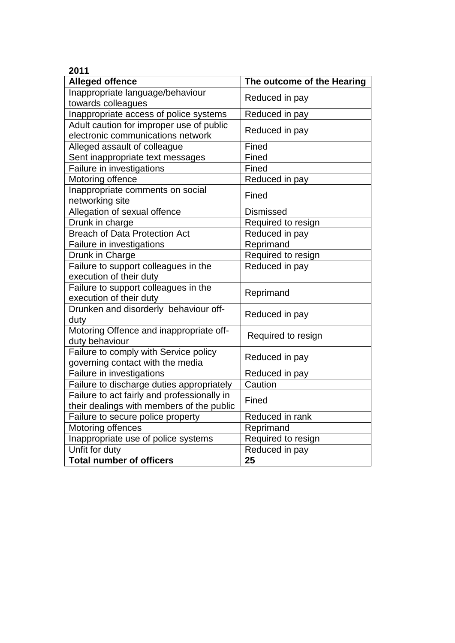| 2011                                                                                     |                            |
|------------------------------------------------------------------------------------------|----------------------------|
| <b>Alleged offence</b>                                                                   | The outcome of the Hearing |
| Inappropriate language/behaviour<br>towards colleagues                                   | Reduced in pay             |
| Inappropriate access of police systems                                                   | Reduced in pay             |
| Adult caution for improper use of public<br>electronic communications network            | Reduced in pay             |
| Alleged assault of colleague                                                             | Fined                      |
| Sent inappropriate text messages                                                         | Fined                      |
| Failure in investigations                                                                | Fined                      |
| Motoring offence                                                                         | Reduced in pay             |
| Inappropriate comments on social<br>networking site                                      | Fined                      |
| Allegation of sexual offence                                                             | Dismissed                  |
| Drunk in charge                                                                          | Required to resign         |
| <b>Breach of Data Protection Act</b>                                                     | Reduced in pay             |
| Failure in investigations                                                                | Reprimand                  |
| Drunk in Charge                                                                          | Required to resign         |
| Failure to support colleagues in the<br>execution of their duty                          | Reduced in pay             |
| Failure to support colleagues in the<br>execution of their duty                          | Reprimand                  |
| Drunken and disorderly behaviour off-<br>duty                                            | Reduced in pay             |
| Motoring Offence and inappropriate off-<br>duty behaviour                                | Required to resign         |
| Failure to comply with Service policy<br>governing contact with the media                | Reduced in pay             |
| Failure in investigations                                                                | Reduced in pay             |
| Failure to discharge duties appropriately                                                | Caution                    |
| Failure to act fairly and professionally in<br>their dealings with members of the public | Fined                      |
| Failure to secure police property                                                        | Reduced in rank            |
| Motoring offences                                                                        | Reprimand                  |
| Inappropriate use of police systems                                                      | Required to resign         |
| Unfit for duty                                                                           | Reduced in pay             |
| <b>Total number of officers</b>                                                          | 25                         |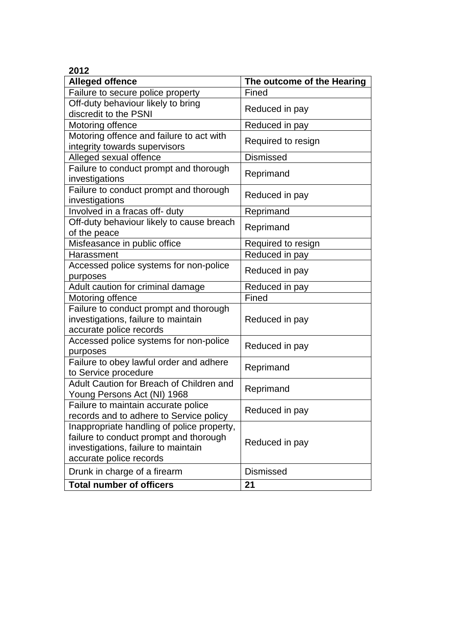| <b>Alleged offence</b>                                                                                                                                 | The outcome of the Hearing |
|--------------------------------------------------------------------------------------------------------------------------------------------------------|----------------------------|
| Failure to secure police property                                                                                                                      | Fined                      |
| Off-duty behaviour likely to bring<br>discredit to the PSNI                                                                                            | Reduced in pay             |
| Motoring offence                                                                                                                                       | Reduced in pay             |
| Motoring offence and failure to act with<br>integrity towards supervisors                                                                              | Required to resign         |
| Alleged sexual offence                                                                                                                                 | <b>Dismissed</b>           |
| Failure to conduct prompt and thorough<br>investigations                                                                                               | Reprimand                  |
| Failure to conduct prompt and thorough<br>investigations                                                                                               | Reduced in pay             |
| Involved in a fracas off- duty                                                                                                                         | Reprimand                  |
| Off-duty behaviour likely to cause breach<br>of the peace                                                                                              | Reprimand                  |
| Misfeasance in public office                                                                                                                           | Required to resign         |
| Harassment                                                                                                                                             | Reduced in pay             |
| Accessed police systems for non-police<br>purposes                                                                                                     | Reduced in pay             |
| Adult caution for criminal damage                                                                                                                      | Reduced in pay             |
| Motoring offence                                                                                                                                       | Fined                      |
| Failure to conduct prompt and thorough<br>investigations, failure to maintain<br>accurate police records                                               | Reduced in pay             |
| Accessed police systems for non-police<br>purposes                                                                                                     | Reduced in pay             |
| Failure to obey lawful order and adhere<br>to Service procedure                                                                                        | Reprimand                  |
| Adult Caution for Breach of Children and<br>Young Persons Act (NI) 1968                                                                                | Reprimand                  |
| Failure to maintain accurate police<br>records and to adhere to Service policy                                                                         | Reduced in pay             |
| Inappropriate handling of police property,<br>failure to conduct prompt and thorough<br>investigations, failure to maintain<br>accurate police records | Reduced in pay             |
| Drunk in charge of a firearm                                                                                                                           | <b>Dismissed</b>           |
| <b>Total number of officers</b>                                                                                                                        | 21                         |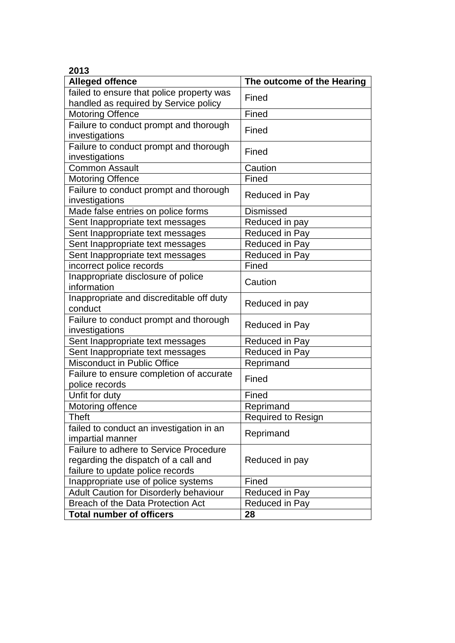| 2013                                                                                                               |                            |
|--------------------------------------------------------------------------------------------------------------------|----------------------------|
| <b>Alleged offence</b>                                                                                             | The outcome of the Hearing |
| failed to ensure that police property was<br>handled as required by Service policy                                 | Fined                      |
| <b>Motoring Offence</b>                                                                                            | Fined                      |
| Failure to conduct prompt and thorough<br>investigations                                                           | Fined                      |
| Failure to conduct prompt and thorough<br>investigations                                                           | Fined                      |
| <b>Common Assault</b>                                                                                              | Caution                    |
| <b>Motoring Offence</b>                                                                                            | Fined                      |
| Failure to conduct prompt and thorough<br>investigations                                                           | Reduced in Pay             |
| Made false entries on police forms                                                                                 | <b>Dismissed</b>           |
| Sent Inappropriate text messages                                                                                   | Reduced in pay             |
| Sent Inappropriate text messages                                                                                   | Reduced in Pay             |
| Sent Inappropriate text messages                                                                                   | Reduced in Pay             |
| Sent Inappropriate text messages                                                                                   | Reduced in Pay             |
| incorrect police records                                                                                           | <b>Fined</b>               |
| Inappropriate disclosure of police<br>information                                                                  | Caution                    |
| Inappropriate and discreditable off duty<br>conduct                                                                | Reduced in pay             |
| Failure to conduct prompt and thorough<br>investigations                                                           | Reduced in Pay             |
| Sent Inappropriate text messages                                                                                   | Reduced in Pay             |
| Sent Inappropriate text messages                                                                                   | Reduced in Pay             |
| Misconduct in Public Office                                                                                        | Reprimand                  |
| Failure to ensure completion of accurate<br>police records                                                         | Fined                      |
| Unfit for duty                                                                                                     | Fined                      |
| Motoring offence                                                                                                   | Reprimand                  |
| Theft                                                                                                              | <b>Required to Resign</b>  |
| failed to conduct an investigation in an<br>impartial manner                                                       | Reprimand                  |
| Failure to adhere to Service Procedure<br>regarding the dispatch of a call and<br>failure to update police records | Reduced in pay             |
| Inappropriate use of police systems                                                                                | Fined                      |
| Adult Caution for Disorderly behaviour                                                                             | Reduced in Pay             |
| Breach of the Data Protection Act                                                                                  | Reduced in Pay             |
| <b>Total number of officers</b>                                                                                    | 28                         |